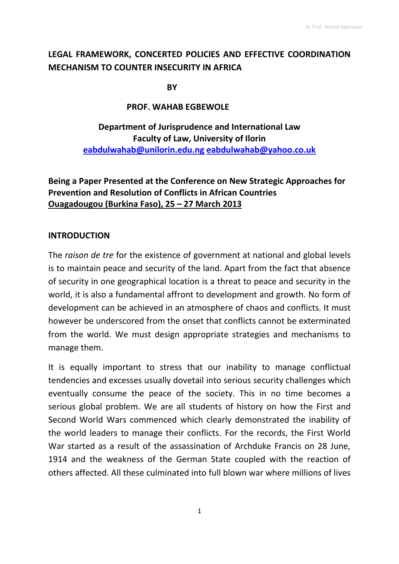# **LEGAL FRAMEWORK, CONCERTED POLICIES AND EFFECTIVE COORDINATION MECHANISM TO COUNTER INSECURITY IN AFRICA**

**BY** BY

## **PROF. WAHAB EGBEWOLE**

# **Department of Jurisprudence and International Law Faculty of Law, University of Ilorin [eabdulwahab@unilorin.edu.ng](mailto:eabdulwahab@unilorin.edu.ng) [eabdulwahab@yahoo.co.uk](mailto:eabdulwahab@yahoo.co.uk)**

## **Being a Paper Presented at the Conference on New Strategic Approaches for Prevention and Resolution of Conflicts in African Countries Ouagadougou (Burkina Faso), 25 – 27 March 2013**

## **INTRODUCTION**

The *raison de tre* for the existence of government at national and global levels is to maintain peace and security of the land. Apart from the fact that absence of security in one geographical location is a threat to peace and security in the world, it is also a fundamental affront to development and growth. No form of development can be achieved in an atmosphere of chaos and conflicts. It must however be underscored from the onset that conflicts cannot be exterminated from the world. We must design appropriate strategies and mechanisms to manage them.

It is equally important to stress that our inability to manage conflictual tendencies and excesses usually dovetail into serious security challenges which eventually consume the peace of the society. This in no time becomes a serious global problem. We are all students of history on how the First and Second World Wars commenced which clearly demonstrated the inability of the world leaders to manage their conflicts. For the records, the First World War started as a result of the assassination of Archduke Francis on 28 June, 1914 and the weakness of the German State coupled with the reaction of others affected. All these culminated into full blown war where millions of lives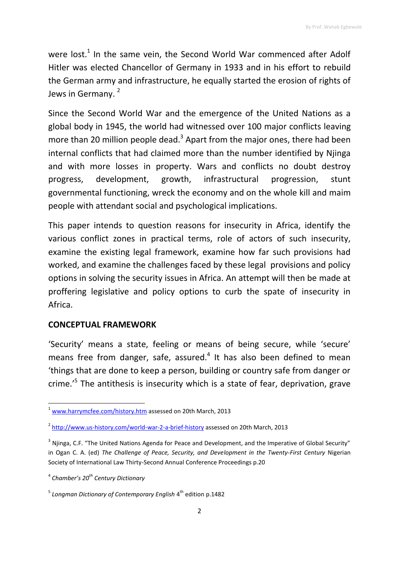were lost.<sup>1</sup> In the same vein, the Second World War commenced after Adolf Hitler was elected Chancellor of Germany in 1933 and in his effort to rebuild the German army and infrastructure, he equally started the erosion of rights of Jews in Germany.<sup>2</sup>

Since the Second World War and the emergence of the United Nations as a global body in 1945, the world had witnessed over 100 major conflicts leaving more than 20 million people dead.<sup>3</sup> Apart from the major ones, there had been internal conflicts that had claimed more than the number identified by Njinga and with more losses in property. Wars and conflicts no doubt destroy progress, development, growth, infrastructural progression, stunt governmental functioning, wreck the economy and on the whole kill and maim people with attendant social and psychological implications.

This paper intends to question reasons for insecurity in Africa, identify the various conflict zones in practical terms, role of actors of such insecurity, examine the existing legal framework, examine how far such provisions had worked, and examine the challenges faced by these legal provisions and policy options in solving the security issues in Africa. An attempt will then be made at proffering legislative and policy options to curb the spate of insecurity in Africa.

## **CONCEPTUAL FRAMEWORK**

'Security' means a state, feeling or means of being secure, while 'secure' means free from danger, safe, assured. $4$  It has also been defined to mean 'things that are done to keep a person, building or country safe from danger or crime.<sup>'5</sup> The antithesis is insecurity which is a state of fear, deprivation, grave

<sup>&</sup>lt;sup>1</sup> [www.harrymcfee.com/history.htm](http://www.harrymcfee.com/history.htm) assessed on 20th March, 2013

<sup>&</sup>lt;sup>2</sup> <http://www.us-history.com/world-war-2-a-brief-history> assessed on 20th March, 2013

<sup>&</sup>lt;sup>3</sup> Njinga, C.F. "The United Nations Agenda for Peace and Development, and the Imperative of Global Security" in Ogan C. A. (ed) *The Challenge of Peace, Security, and Development in the Twenty-First Century* Nigerian Society of International Law Thirty-Second Annual Conference Proceedings p.20

<sup>4</sup> *Chamber's 20th Century Dictionary*

<sup>&</sup>lt;sup>5</sup> Longman Dictionary of Contemporary English 4<sup>th</sup> edition p.1482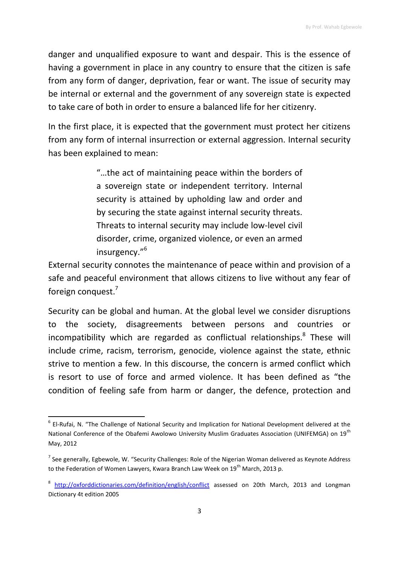danger and unqualified exposure to want and despair. This is the essence of having a government in place in any country to ensure that the citizen is safe from any form of danger, deprivation, fear or want. The issue of security may be internal or external and the government of any sovereign state is expected to take care of both in order to ensure a balanced life for her citizenry.

In the first place, it is expected that the government must protect her citizens from any form of internal insurrection or external aggression. Internal security has been explained to mean:

> "…the act of maintaining peace within the borders of a sovereign state or independent territory. Internal security is attained by upholding law and order and by securing the state against internal security threats. Threats to internal security may include low-level civil disorder, crime, organized violence, or even an armed insurgency."<sup>6</sup>

External security connotes the maintenance of peace within and provision of a safe and peaceful environment that allows citizens to live without any fear of foreign conquest.<sup>7</sup>

Security can be global and human. At the global level we consider disruptions to the society, disagreements between persons and countries or incompatibility which are regarded as conflictual relationships.<sup>8</sup> These will include crime, racism, terrorism, genocide, violence against the state, ethnic strive to mention a few. In this discourse, the concern is armed conflict which is resort to use of force and armed violence. It has been defined as "the condition of feeling safe from harm or danger, the defence, protection and

**.** 

<sup>&</sup>lt;sup>6</sup> El-Rufai, N. "The Challenge of National Security and Implication for National Development delivered at the National Conference of the Obafemi Awolowo University Muslim Graduates Association (UNIFEMGA) on 19<sup>th</sup> May, 2012

<sup>&</sup>lt;sup>7</sup> See generally, Egbewole, W. "Security Challenges: Role of the Nigerian Woman delivered as Keynote Address to the Federation of Women Lawyers, Kwara Branch Law Week on  $19^{th}$  March, 2013 p.

<sup>&</sup>lt;sup>8</sup> <http://oxforddictionaries.com/definition/english/conflict> assessed on 20th March, 2013 and Longman Dictionary 4t edition 2005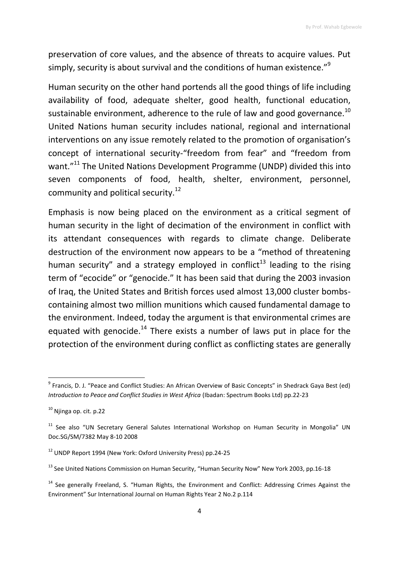preservation of core values, and the absence of threats to acquire values. Put simply, security is about survival and the conditions of human existence."<sup>9</sup>

Human security on the other hand portends all the good things of life including availability of food, adequate shelter, good health, functional education, sustainable environment, adherence to the rule of law and good governance.<sup>10</sup> United Nations human security includes national, regional and international interventions on any issue remotely related to the promotion of organisation's concept of international security-"freedom from fear" and "freedom from want."<sup>11</sup> The United Nations Development Programme (UNDP) divided this into seven components of food, health, shelter, environment, personnel, community and political security.<sup>12</sup>

Emphasis is now being placed on the environment as a critical segment of human security in the light of decimation of the environment in conflict with its attendant consequences with regards to climate change. Deliberate destruction of the environment now appears to be a "method of threatening human security" and a strategy employed in conflict<sup>13</sup> leading to the rising term of "ecocide" or "genocide." It has been said that during the 2003 invasion of Iraq, the United States and British forces used almost 13,000 cluster bombscontaining almost two million munitions which caused fundamental damage to the environment. Indeed, today the argument is that environmental crimes are equated with genocide.<sup>14</sup> There exists a number of laws put in place for the protection of the environment during conflict as conflicting states are generally

**.** 

<sup>&</sup>lt;sup>9</sup> Francis, D. J. "Peace and Conflict Studies: An African Overview of Basic Concepts" in Shedrack Gaya Best (ed) *Introduction to Peace and Conflict Studies in West Africa* (Ibadan: Spectrum Books Ltd) pp.22-23

 $10$  Njinga op. cit. p.22

<sup>&</sup>lt;sup>11</sup> See also "UN Secretary General Salutes International Workshop on Human Security in Mongolia" UN Doc.SG/SM/7382 May 8-10 2008

<sup>12</sup> UNDP Report 1994 (New York: Oxford University Press) pp.24-25

<sup>&</sup>lt;sup>13</sup> See United Nations Commission on Human Security, "Human Security Now" New York 2003, pp.16-18

<sup>&</sup>lt;sup>14</sup> See generally Freeland, S. "Human Rights, the Environment and Conflict: Addressing Crimes Against the Environment" Sur International Journal on Human Rights Year 2 No.2 p.114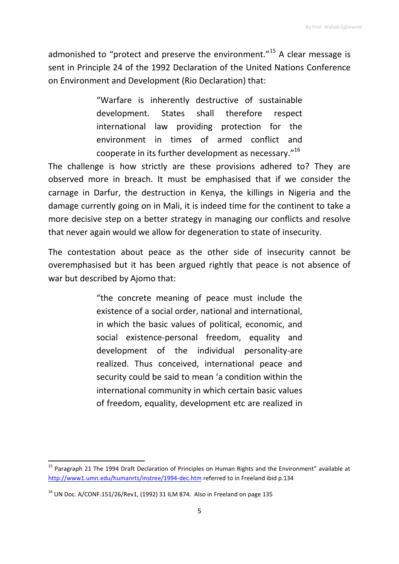admonished to "protect and preserve the environment."<sup>15</sup> A clear message is sent in Principle 24 of the 1992 Declaration of the United Nations Conference on Environment and Development (Rio Declaration) that:

> "Warfare is inherently destructive of sustainable development. States shall therefore respect international law providing protection for the environment in times of armed conflict and cooperate in its further development as necessary."<sup>16</sup>

The challenge is how strictly are these provisions adhered to? They are observed more in breach. It must be emphasised that if we consider the carnage in Darfur, the destruction in Kenya, the killings in Nigeria and the damage currently going on in Mali, it is indeed time for the continent to take a more decisive step on a better strategy in managing our conflicts and resolve that never again would we allow for degeneration to state of insecurity.

The contestation about peace as the other side of insecurity cannot be overemphasised but it has been argued rightly that peace is not absence of war but described by Ajomo that:

> "the concrete meaning of peace must include the existence of a social order, national and international, in which the basic values of political, economic, and social existence-personal freedom, equality and development of the individual personality-are realized. Thus conceived, international peace and security could be said to mean 'a condition within the international community in which certain basic values of freedom, equality, development etc are realized in

 $\overline{\phantom{a}}$ <sup>15</sup> Paragraph 21 The 1994 Draft Declaration of Principles on Human Rights and the Environment" available at <http://www1.umn.edu/humanrts/instree/1994-dec.htm> referred to in Freeland ibid p.134

 $16$  UN Doc. A/CONF.151/26/Rev1, (1992) 31 ILM 874. Also in Freeland on page 135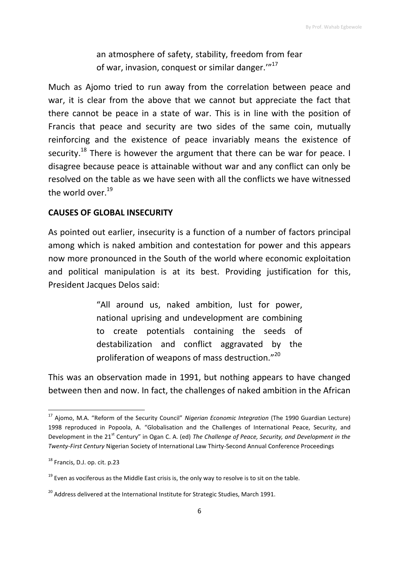an atmosphere of safety, stability, freedom from fear of war, invasion, conquest or similar danger.""<sup>17</sup>

Much as Ajomo tried to run away from the correlation between peace and war, it is clear from the above that we cannot but appreciate the fact that there cannot be peace in a state of war. This is in line with the position of Francis that peace and security are two sides of the same coin, mutually reinforcing and the existence of peace invariably means the existence of security.<sup>18</sup> There is however the argument that there can be war for peace. I disagree because peace is attainable without war and any conflict can only be resolved on the table as we have seen with all the conflicts we have witnessed the world over. $19$ 

## **CAUSES OF GLOBAL INSECURITY**

As pointed out earlier, insecurity is a function of a number of factors principal among which is naked ambition and contestation for power and this appears now more pronounced in the South of the world where economic exploitation and political manipulation is at its best. Providing justification for this, President Jacques Delos said:

> "All around us, naked ambition, lust for power, national uprising and undevelopment are combining to create potentials containing the seeds of destabilization and conflict aggravated by the proliferation of weapons of mass destruction."<sup>20</sup>

This was an observation made in 1991, but nothing appears to have changed between then and now. In fact, the challenges of naked ambition in the African

<sup>17</sup> Ajomo, M.A. "Reform of the Security Council" *Nigerian Economic Integration* (The 1990 Guardian Lecture) 1998 reproduced in Popoola, A. "Globalisation and the Challenges of International Peace, Security, and Development in the 21<sup>st</sup> Century" in Ogan C. A. (ed) *The Challenge of Peace, Security, and Development in the Twenty-First Century* Nigerian Society of International Law Thirty-Second Annual Conference Proceedings

<sup>&</sup>lt;sup>18</sup> Francis, D.J. op. cit. p.23

 $19$  Even as vociferous as the Middle East crisis is, the only way to resolve is to sit on the table.

<sup>&</sup>lt;sup>20</sup> Address delivered at the International Institute for Strategic Studies, March 1991.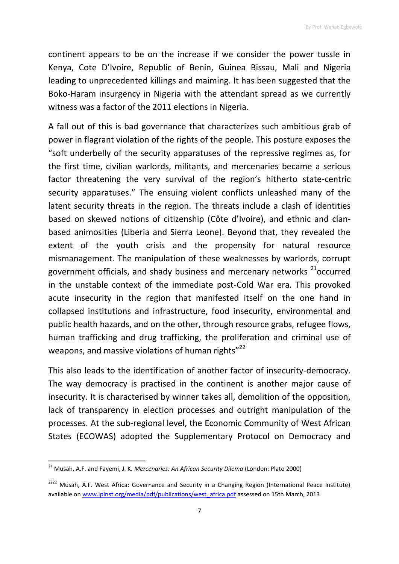continent appears to be on the increase if we consider the power tussle in Kenya, Cote D'Ivoire, Republic of Benin, Guinea Bissau, Mali and Nigeria leading to unprecedented killings and maiming. It has been suggested that the Boko-Haram insurgency in Nigeria with the attendant spread as we currently witness was a factor of the 2011 elections in Nigeria.

A fall out of this is bad governance that characterizes such ambitious grab of power in flagrant violation of the rights of the people. This posture exposes the "soft underbelly of the security apparatuses of the repressive regimes as, for the first time, civilian warlords, militants, and mercenaries became a serious factor threatening the very survival of the region's hitherto state-centric security apparatuses." The ensuing violent conflicts unleashed many of the latent security threats in the region. The threats include a clash of identities based on skewed notions of citizenship (Côte d'Ivoire), and ethnic and clanbased animosities (Liberia and Sierra Leone). Beyond that, they revealed the extent of the youth crisis and the propensity for natural resource mismanagement. The manipulation of these weaknesses by warlords, corrupt government officials, and shady business and mercenary networks <sup>21</sup>occurred in the unstable context of the immediate post-Cold War era. This provoked acute insecurity in the region that manifested itself on the one hand in collapsed institutions and infrastructure, food insecurity, environmental and public health hazards, and on the other, through resource grabs, refugee flows, human trafficking and drug trafficking, the proliferation and criminal use of weapons, and massive violations of human rights"<sup>22</sup>

This also leads to the identification of another factor of insecurity-democracy. The way democracy is practised in the continent is another major cause of insecurity. It is characterised by winner takes all, demolition of the opposition, lack of transparency in election processes and outright manipulation of the processes. At the sub-regional level, the Economic Community of West African States (ECOWAS) adopted the Supplementary Protocol on Democracy and

<sup>21</sup> Musah, A.F. and Fayemi, J. K. *Mercenaries: An African Security Dilema* (London: Plato 2000)

<sup>&</sup>lt;sup>2222</sup> Musah, A.F. West Africa: Governance and Security in a Changing Region (International Peace Institute) available on [www.ipinst.org/media/pdf/publications/west\\_africa.pdf](http://www.ipinst.org/media/pdf/publications/west_africa.pdf) assessed on 15th March, 2013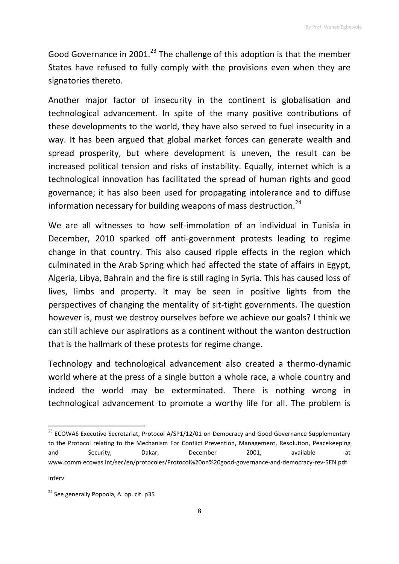Good Governance in 2001.<sup>23</sup> The challenge of this adoption is that the member States have refused to fully comply with the provisions even when they are signatories thereto.

Another major factor of insecurity in the continent is globalisation and technological advancement. In spite of the many positive contributions of these developments to the world, they have also served to fuel insecurity in a way. It has been argued that global market forces can generate wealth and spread prosperity, but where development is uneven, the result can be increased political tension and risks of instability. Equally, internet which is a technological innovation has facilitated the spread of human rights and good governance; it has also been used for propagating intolerance and to diffuse information necessary for building weapons of mass destruction.<sup>24</sup>

We are all witnesses to how self-immolation of an individual in Tunisia in December, 2010 sparked off anti-government protests leading to regime change in that country. This also caused ripple effects in the region which culminated in the Arab Spring which had affected the state of affairs in Egypt, Algeria, Libya, Bahrain and the fire is still raging in Syria. This has caused loss of lives, limbs and property. It may be seen in positive lights from the perspectives of changing the mentality of sit-tight governments. The question however is, must we destroy ourselves before we achieve our goals? I think we can still achieve our aspirations as a continent without the wanton destruction that is the hallmark of these protests for regime change.

Technology and technological advancement also created a thermo-dynamic world where at the press of a single button a whole race, a whole country and indeed the world may be exterminated. There is nothing wrong in technological advancement to promote a worthy life for all. The problem is

interv

<sup>&</sup>lt;sup>23</sup> ECOWAS Executive Secretariat, Protocol A/SP1/12/01 on Democracy and Good Governance Supplementary to the Protocol relating to the Mechanism For Conflict Prevention, Management, Resolution, Peacekeeping and Security, Dakar, December 2001, available at www.comm.ecowas.int/sec/en/protocoles/Protocol%20on%20good-governance-and-democracy-rev-5EN.pdf.

<sup>&</sup>lt;sup>24</sup> See generally Popoola, A. op. cit. p35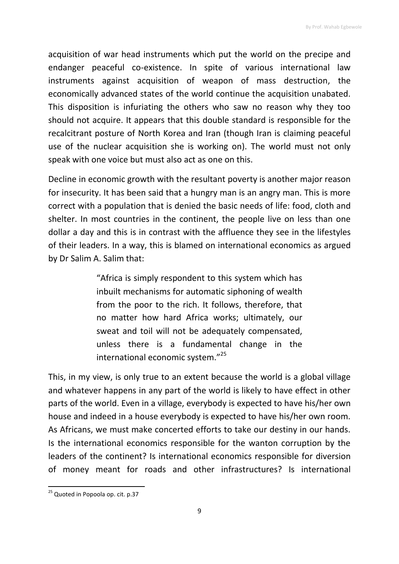acquisition of war head instruments which put the world on the precipe and endanger peaceful co-existence. In spite of various international law instruments against acquisition of weapon of mass destruction, the economically advanced states of the world continue the acquisition unabated. This disposition is infuriating the others who saw no reason why they too should not acquire. It appears that this double standard is responsible for the recalcitrant posture of North Korea and Iran (though Iran is claiming peaceful use of the nuclear acquisition she is working on). The world must not only speak with one voice but must also act as one on this.

Decline in economic growth with the resultant poverty is another major reason for insecurity. It has been said that a hungry man is an angry man. This is more correct with a population that is denied the basic needs of life: food, cloth and shelter. In most countries in the continent, the people live on less than one dollar a day and this is in contrast with the affluence they see in the lifestyles of their leaders. In a way, this is blamed on international economics as argued by Dr Salim A. Salim that:

> "Africa is simply respondent to this system which has inbuilt mechanisms for automatic siphoning of wealth from the poor to the rich. It follows, therefore, that no matter how hard Africa works; ultimately, our sweat and toil will not be adequately compensated, unless there is a fundamental change in the international economic system."<sup>25</sup>

This, in my view, is only true to an extent because the world is a global village and whatever happens in any part of the world is likely to have effect in other parts of the world. Even in a village, everybody is expected to have his/her own house and indeed in a house everybody is expected to have his/her own room. As Africans, we must make concerted efforts to take our destiny in our hands. Is the international economics responsible for the wanton corruption by the leaders of the continent? Is international economics responsible for diversion of money meant for roads and other infrastructures? Is international

1

<sup>&</sup>lt;sup>25</sup> Quoted in Popoola op. cit. p.37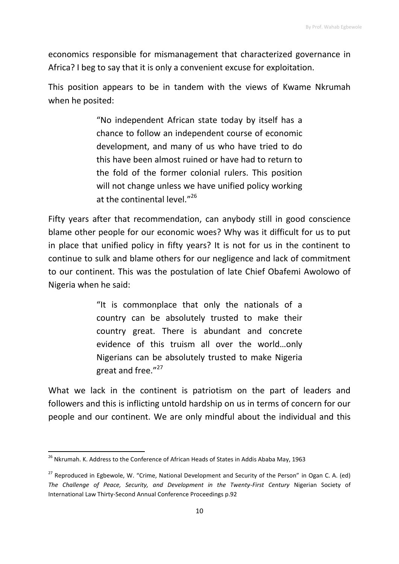economics responsible for mismanagement that characterized governance in Africa? I beg to say that it is only a convenient excuse for exploitation.

This position appears to be in tandem with the views of Kwame Nkrumah when he posited:

> "No independent African state today by itself has a chance to follow an independent course of economic development, and many of us who have tried to do this have been almost ruined or have had to return to the fold of the former colonial rulers. This position will not change unless we have unified policy working at the continental level."26

Fifty years after that recommendation, can anybody still in good conscience blame other people for our economic woes? Why was it difficult for us to put in place that unified policy in fifty years? It is not for us in the continent to continue to sulk and blame others for our negligence and lack of commitment to our continent. This was the postulation of late Chief Obafemi Awolowo of Nigeria when he said:

> "It is commonplace that only the nationals of a country can be absolutely trusted to make their country great. There is abundant and concrete evidence of this truism all over the world…only Nigerians can be absolutely trusted to make Nigeria great and free."<sup>27</sup>

What we lack in the continent is patriotism on the part of leaders and followers and this is inflicting untold hardship on us in terms of concern for our people and our continent. We are only mindful about the individual and this

**<sup>.</sup>** <sup>26</sup> Nkrumah. K. Address to the Conference of African Heads of States in Addis Ababa May, 1963

 $27$  Reproduced in Egbewole, W. "Crime, National Development and Security of the Person" in Ogan C. A. (ed) *The Challenge of Peace, Security, and Development in the Twenty-First Century* Nigerian Society of International Law Thirty-Second Annual Conference Proceedings p.92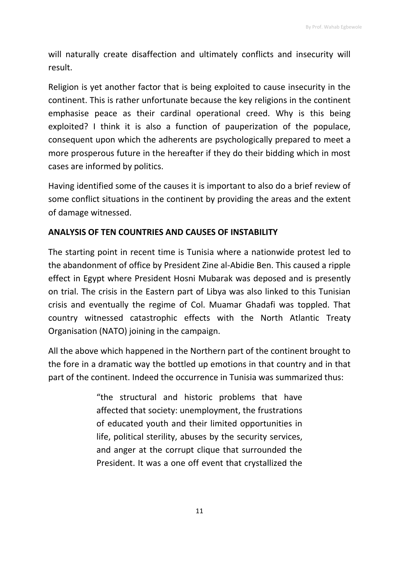will naturally create disaffection and ultimately conflicts and insecurity will result.

Religion is yet another factor that is being exploited to cause insecurity in the continent. This is rather unfortunate because the key religions in the continent emphasise peace as their cardinal operational creed. Why is this being exploited? I think it is also a function of pauperization of the populace, consequent upon which the adherents are psychologically prepared to meet a more prosperous future in the hereafter if they do their bidding which in most cases are informed by politics.

Having identified some of the causes it is important to also do a brief review of some conflict situations in the continent by providing the areas and the extent of damage witnessed.

## **ANALYSIS OF TEN COUNTRIES AND CAUSES OF INSTABILITY**

The starting point in recent time is Tunisia where a nationwide protest led to the abandonment of office by President Zine al-Abidie Ben. This caused a ripple effect in Egypt where President Hosni Mubarak was deposed and is presently on trial. The crisis in the Eastern part of Libya was also linked to this Tunisian crisis and eventually the regime of Col. Muamar Ghadafi was toppled. That country witnessed catastrophic effects with the North Atlantic Treaty Organisation (NATO) joining in the campaign.

All the above which happened in the Northern part of the continent brought to the fore in a dramatic way the bottled up emotions in that country and in that part of the continent. Indeed the occurrence in Tunisia was summarized thus:

> "the structural and historic problems that have affected that society: unemployment, the frustrations of educated youth and their limited opportunities in life, political sterility, abuses by the security services, and anger at the corrupt clique that surrounded the President. It was a one off event that crystallized the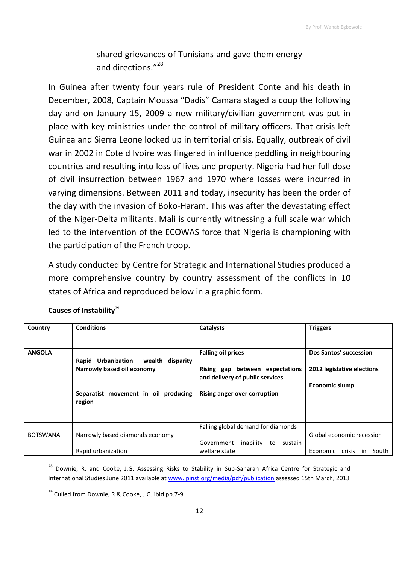shared grievances of Tunisians and gave them energy and directions."<sup>28</sup>

In Guinea after twenty four years rule of President Conte and his death in December, 2008, Captain Moussa "Dadis" Camara staged a coup the following day and on January 15, 2009 a new military/civilian government was put in place with key ministries under the control of military officers. That crisis left Guinea and Sierra Leone locked up in territorial crisis. Equally, outbreak of civil war in 2002 in Cote d Ivoire was fingered in influence peddling in neighbouring countries and resulting into loss of lives and property. Nigeria had her full dose of civil insurrection between 1967 and 1970 where losses were incurred in varying dimensions. Between 2011 and today, insecurity has been the order of the day with the invasion of Boko-Haram. This was after the devastating effect of the Niger-Delta militants. Mali is currently witnessing a full scale war which led to the intervention of the ECOWAS force that Nigeria is championing with the participation of the French troop.

A study conducted by Centre for Strategic and International Studies produced a more comprehensive country by country assessment of the conflicts in 10 states of Africa and reproduced below in a graphic form.

| Country         | <b>Conditions</b>                                                 | Catalysts                                                                   | <b>Triggers</b>             |
|-----------------|-------------------------------------------------------------------|-----------------------------------------------------------------------------|-----------------------------|
| <b>ANGOLA</b>   |                                                                   | <b>Falling oil prices</b>                                                   | Dos Santos' succession      |
|                 | Rapid Urbanization wealth disparity<br>Narrowly based oil economy | Rising gap between expectations<br>and delivery of public services          | 2012 legislative elections  |
|                 | Separatist movement in oil producing<br>region                    | <b>Rising anger over corruption</b>                                         | <b>Economic slump</b>       |
| <b>BOTSWANA</b> | Narrowly based diamonds economy                                   | Falling global demand for diamonds<br>Government inability<br>to<br>sustain | Global economic recession   |
|                 | Rapid urbanization                                                | welfare state                                                               | Economic crisis in<br>South |

#### **Causes of Instability**<sup>29</sup>

<sup>&</sup>lt;sup>28</sup> Downie, R. and Cooke, J.G. Assessing Risks to Stability in Sub-Saharan Africa Centre for Strategic and International Studies June 2011 available at [www.ipinst.org/media/pdf/publication](http://www.ipinst.org/media/pdf/publication) assessed 15th March, 2013

 $29$  Culled from Downie, R & Cooke, J.G. ibid pp.7-9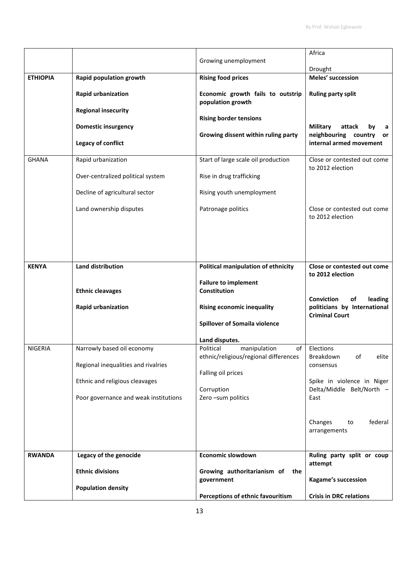|                 |                                                          | Growing unemployment                                                     | Africa                                                                                      |
|-----------------|----------------------------------------------------------|--------------------------------------------------------------------------|---------------------------------------------------------------------------------------------|
| <b>ETHIOPIA</b> | Rapid population growth                                  | <b>Rising food prices</b>                                                | Drought<br>Meles' succession                                                                |
|                 | <b>Rapid urbanization</b>                                | Economic growth fails to outstrip<br>population growth                   | <b>Ruling party split</b>                                                                   |
|                 | <b>Regional insecurity</b><br><b>Domestic insurgency</b> | <b>Rising border tensions</b>                                            | <b>Military</b><br>attack<br>by<br>а                                                        |
|                 | Legacy of conflict                                       | Growing dissent within ruling party                                      | neighbouring country<br>or<br>internal armed movement                                       |
| <b>GHANA</b>    | Rapid urbanization                                       | Start of large scale oil production                                      | Close or contested out come<br>to 2012 election                                             |
|                 | Over-centralized political system                        | Rise in drug trafficking                                                 |                                                                                             |
|                 | Decline of agricultural sector                           | Rising youth unemployment                                                |                                                                                             |
|                 | Land ownership disputes                                  | Patronage politics                                                       | Close or contested out come<br>to 2012 election                                             |
|                 |                                                          |                                                                          |                                                                                             |
| <b>KENYA</b>    | <b>Land distribution</b>                                 | Political manipulation of ethnicity                                      | Close or contested out come<br>to 2012 election                                             |
|                 | <b>Ethnic cleavages</b>                                  | <b>Failure to implement</b><br>Constitution                              |                                                                                             |
|                 | <b>Rapid urbanization</b>                                | <b>Rising economic inequality</b>                                        | <b>Conviction</b><br>οf<br>leading<br>politicians by International<br><b>Criminal Court</b> |
|                 |                                                          | <b>Spillover of Somaila violence</b>                                     |                                                                                             |
|                 |                                                          | Land disputes.                                                           |                                                                                             |
| <b>NIGERIA</b>  | Narrowly based oil economy                               | Political<br>manipulation<br>οf<br>ethnic/religious/regional differences | Elections<br>Breakdown<br>of<br>elite                                                       |
|                 | Regional inequalities and rivalries                      | Falling oil prices                                                       | consensus                                                                                   |
|                 | Ethnic and religious cleavages                           |                                                                          | Spike in violence in Niger<br>Delta/Middle Belt/North -                                     |
|                 | Poor governance and weak institutions                    | Corruption<br>Zero-sum politics                                          | East                                                                                        |
|                 |                                                          |                                                                          | federal<br>Changes<br>to<br>arrangements                                                    |
| <b>RWANDA</b>   | Legacy of the genocide                                   | Economic slowdown                                                        | Ruling party split or coup                                                                  |
|                 | <b>Ethnic divisions</b>                                  | Growing authoritarianism of<br>the<br>government                         | attempt<br><b>Kagame's succession</b>                                                       |
|                 | <b>Population density</b>                                |                                                                          |                                                                                             |
|                 |                                                          | Perceptions of ethnic favouritism                                        | <b>Crisis in DRC relations</b>                                                              |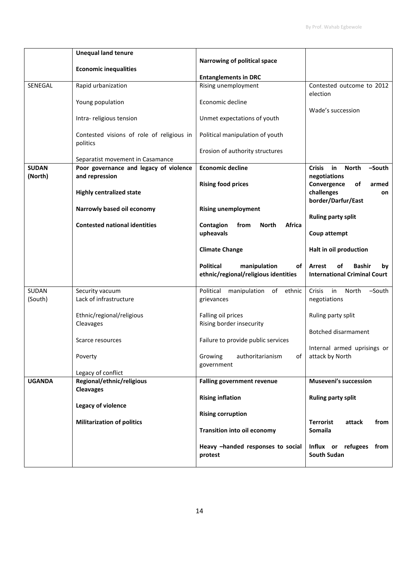|                | <b>Unequal land tenure</b>                            |                                                                                |                                                                            |
|----------------|-------------------------------------------------------|--------------------------------------------------------------------------------|----------------------------------------------------------------------------|
|                |                                                       | Narrowing of political space                                                   |                                                                            |
|                | <b>Economic inequalities</b>                          |                                                                                |                                                                            |
|                |                                                       | <b>Entanglements in DRC</b>                                                    |                                                                            |
| <b>SENEGAL</b> | Rapid urbanization                                    | Rising unemployment                                                            | Contested outcome to 2012<br>election                                      |
|                | Young population                                      | Economic decline                                                               | Wade's succession                                                          |
|                | Intra-religious tension                               | Unmet expectations of youth                                                    |                                                                            |
|                | Contested visions of role of religious in<br>politics | Political manipulation of youth                                                |                                                                            |
|                | Separatist movement in Casamance                      | Erosion of authority structures                                                |                                                                            |
| <b>SUDAN</b>   | Poor governance and legacy of violence                | <b>Economic decline</b>                                                        | in<br><b>Crisis</b><br><b>North</b><br>-South                              |
| (North)        | and repression                                        |                                                                                | negotiations                                                               |
|                | <b>Highly centralized state</b>                       | <b>Rising food prices</b>                                                      | Convergence<br>of<br>armed<br>challenges<br>on                             |
|                | Narrowly based oil economy                            | <b>Rising unemployment</b>                                                     | border/Darfur/East                                                         |
|                |                                                       |                                                                                | <b>Ruling party split</b>                                                  |
|                | <b>Contested national identities</b>                  | Contagion<br>from<br><b>North</b><br>Africa                                    |                                                                            |
|                |                                                       | upheavals                                                                      | Coup attempt                                                               |
|                |                                                       | <b>Climate Change</b>                                                          | Halt in oil production                                                     |
|                |                                                       | <b>Political</b><br>manipulation<br>of<br>ethnic/regional/religious identities | Arrest<br>οf<br><b>Bashir</b><br>by<br><b>International Criminal Court</b> |
| SUDAN          | Security vacuum                                       | Political<br>of ethnic<br>manipulation                                         | -South<br>Crisis<br>in<br>North                                            |
| (South)        | Lack of infrastructure                                | grievances                                                                     | negotiations                                                               |
|                | Ethnic/regional/religious                             | Falling oil prices                                                             | Ruling party split                                                         |
|                | Cleavages                                             | Rising border insecurity                                                       |                                                                            |
|                |                                                       |                                                                                | Botched disarmament                                                        |
|                | Scarce resources                                      | Failure to provide public services                                             | Internal armed uprisings or                                                |
|                | Poverty                                               | Growing<br>authoritarianism<br>οf<br>government                                | attack by North                                                            |
|                | Legacy of conflict                                    |                                                                                |                                                                            |
| <b>UGANDA</b>  | Regional/ethnic/religious                             | <b>Falling government revenue</b>                                              | <b>Museveni's succession</b>                                               |
|                | <b>Cleavages</b>                                      |                                                                                |                                                                            |
|                |                                                       | <b>Rising inflation</b>                                                        | <b>Ruling party split</b>                                                  |
|                | Legacy of violence                                    |                                                                                |                                                                            |
|                |                                                       | <b>Rising corruption</b>                                                       |                                                                            |
|                | <b>Militarization of politics</b>                     | <b>Transition into oil economy</b>                                             | <b>Terrorist</b><br>attack<br>from<br><b>Somaila</b>                       |
|                |                                                       | Heavy -handed responses to social<br>protest                                   | Influx or refugees from<br><b>South Sudan</b>                              |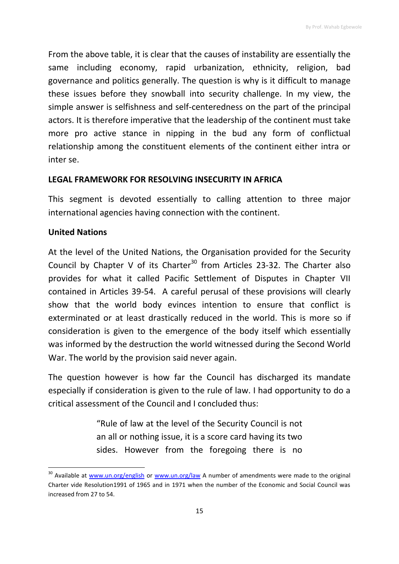From the above table, it is clear that the causes of instability are essentially the same including economy, rapid urbanization, ethnicity, religion, bad governance and politics generally. The question is why is it difficult to manage these issues before they snowball into security challenge. In my view, the simple answer is selfishness and self-centeredness on the part of the principal actors. It is therefore imperative that the leadership of the continent must take more pro active stance in nipping in the bud any form of conflictual relationship among the constituent elements of the continent either intra or inter se.

## **LEGAL FRAMEWORK FOR RESOLVING INSECURITY IN AFRICA**

This segment is devoted essentially to calling attention to three major international agencies having connection with the continent.

## **United Nations**

1

At the level of the United Nations, the Organisation provided for the Security Council by Chapter V of its Charter<sup>30</sup> from Articles 23-32. The Charter also provides for what it called Pacific Settlement of Disputes in Chapter VII contained in Articles 39-54. A careful perusal of these provisions will clearly show that the world body evinces intention to ensure that conflict is exterminated or at least drastically reduced in the world. This is more so if consideration is given to the emergence of the body itself which essentially was informed by the destruction the world witnessed during the Second World War. The world by the provision said never again.

The question however is how far the Council has discharged its mandate especially if consideration is given to the rule of law. I had opportunity to do a critical assessment of the Council and I concluded thus:

> "Rule of law at the level of the Security Council is not an all or nothing issue, it is a score card having its two sides. However from the foregoing there is no

<sup>&</sup>lt;sup>30</sup> Available at [www.un.org/english](http://www.un.org/english) or [www.un.org/law](http://www.un.org/law) A number of amendments were made to the original Charter vide Resolution1991 of 1965 and in 1971 when the number of the Economic and Social Council was increased from 27 to 54.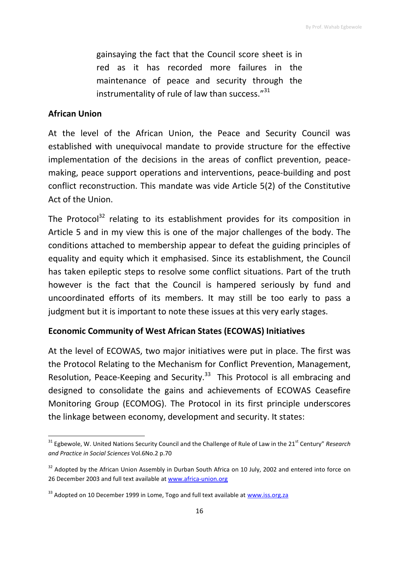gainsaying the fact that the Council score sheet is in red as it has recorded more failures in the maintenance of peace and security through the instrumentality of rule of law than success."<sup>31</sup>

### **African Union**

 $\overline{\phantom{a}}$ 

At the level of the African Union, the Peace and Security Council was established with unequivocal mandate to provide structure for the effective implementation of the decisions in the areas of conflict prevention, peacemaking, peace support operations and interventions, peace-building and post conflict reconstruction. This mandate was vide Article 5(2) of the Constitutive Act of the Union.

The Protocol<sup>32</sup> relating to its establishment provides for its composition in Article 5 and in my view this is one of the major challenges of the body. The conditions attached to membership appear to defeat the guiding principles of equality and equity which it emphasised. Since its establishment, the Council has taken epileptic steps to resolve some conflict situations. Part of the truth however is the fact that the Council is hampered seriously by fund and uncoordinated efforts of its members. It may still be too early to pass a judgment but it is important to note these issues at this very early stages.

### **Economic Community of West African States (ECOWAS) Initiatives**

At the level of ECOWAS, two major initiatives were put in place. The first was the Protocol Relating to the Mechanism for Conflict Prevention, Management, Resolution, Peace-Keeping and Security.<sup>33</sup> This Protocol is all embracing and designed to consolidate the gains and achievements of ECOWAS Ceasefire Monitoring Group (ECOMOG). The Protocol in its first principle underscores the linkage between economy, development and security. It states:

<sup>&</sup>lt;sup>31</sup> Egbewole, W. United Nations Security Council and the Challenge of Rule of Law in the 21<sup>st</sup> Century" *Research and Practice in Social Sciences* Vol.6No.2 p.70

<sup>&</sup>lt;sup>32</sup> Adopted by the African Union Assembly in Durban South Africa on 10 July, 2002 and entered into force on 26 December 2003 and full text available at [www.africa-union.org](http://www.africa-union.org/)

<sup>&</sup>lt;sup>33</sup> Adopted on 10 December 1999 in Lome, Togo and full text available at [www.iss.org.za](http://www.iss.org.za/)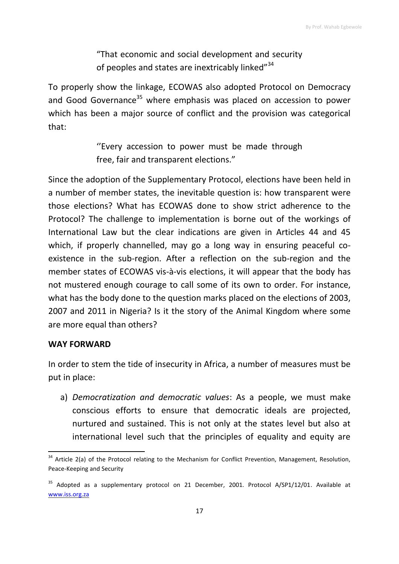"That economic and social development and security of peoples and states are inextricably linked"<sup>34</sup>

To properly show the linkage, ECOWAS also adopted Protocol on Democracy and Good Governance<sup>35</sup> where emphasis was placed on accession to power which has been a major source of conflict and the provision was categorical that:

> ''Every accession to power must be made through free, fair and transparent elections."

Since the adoption of the Supplementary Protocol, elections have been held in a number of member states, the inevitable question is: how transparent were those elections? What has ECOWAS done to show strict adherence to the Protocol? The challenge to implementation is borne out of the workings of International Law but the clear indications are given in Articles 44 and 45 which, if properly channelled, may go a long way in ensuring peaceful coexistence in the sub-region. After a reflection on the sub-region and the member states of ECOWAS vis-à-vis elections, it will appear that the body has not mustered enough courage to call some of its own to order. For instance, what has the body done to the question marks placed on the elections of 2003, 2007 and 2011 in Nigeria? Is it the story of the Animal Kingdom where some are more equal than others?

#### **WAY FORWARD**

**.** 

In order to stem the tide of insecurity in Africa, a number of measures must be put in place:

a) *Democratization and democratic values*: As a people, we must make conscious efforts to ensure that democratic ideals are projected, nurtured and sustained. This is not only at the states level but also at international level such that the principles of equality and equity are

<sup>&</sup>lt;sup>34</sup> Article 2(a) of the Protocol relating to the Mechanism for Conflict Prevention, Management, Resolution, Peace-Keeping and Security

<sup>&</sup>lt;sup>35</sup> Adopted as a supplementary protocol on 21 December, 2001. Protocol A/SP1/12/01. Available at [www.iss.org.za](http://www.iss.org.za/)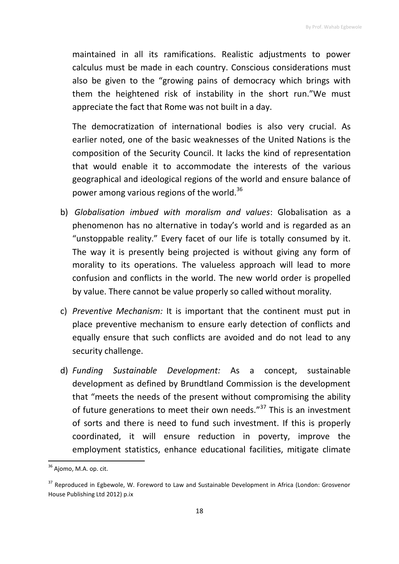maintained in all its ramifications. Realistic adjustments to power calculus must be made in each country. Conscious considerations must also be given to the "growing pains of democracy which brings with them the heightened risk of instability in the short run."We must appreciate the fact that Rome was not built in a day.

The democratization of international bodies is also very crucial. As earlier noted, one of the basic weaknesses of the United Nations is the composition of the Security Council. It lacks the kind of representation that would enable it to accommodate the interests of the various geographical and ideological regions of the world and ensure balance of power among various regions of the world.<sup>36</sup>

- b) *Globalisation imbued with moralism and values*: Globalisation as a phenomenon has no alternative in today's world and is regarded as an "unstoppable reality." Every facet of our life is totally consumed by it. The way it is presently being projected is without giving any form of morality to its operations. The valueless approach will lead to more confusion and conflicts in the world. The new world order is propelled by value. There cannot be value properly so called without morality.
- c) *Preventive Mechanism:* It is important that the continent must put in place preventive mechanism to ensure early detection of conflicts and equally ensure that such conflicts are avoided and do not lead to any security challenge.
- d) *Funding Sustainable Development:* As a concept, sustainable development as defined by Brundtland Commission is the development that "meets the needs of the present without compromising the ability of future generations to meet their own needs."<sup>37</sup> This is an investment of sorts and there is need to fund such investment. If this is properly coordinated, it will ensure reduction in poverty, improve the employment statistics, enhance educational facilities, mitigate climate

<sup>&</sup>lt;sup>36</sup> Ajomo, M.A. op. cit.

<sup>&</sup>lt;sup>37</sup> Reproduced in Egbewole, W. Foreword to Law and Sustainable Development in Africa (London: Grosvenor House Publishing Ltd 2012) p.ix